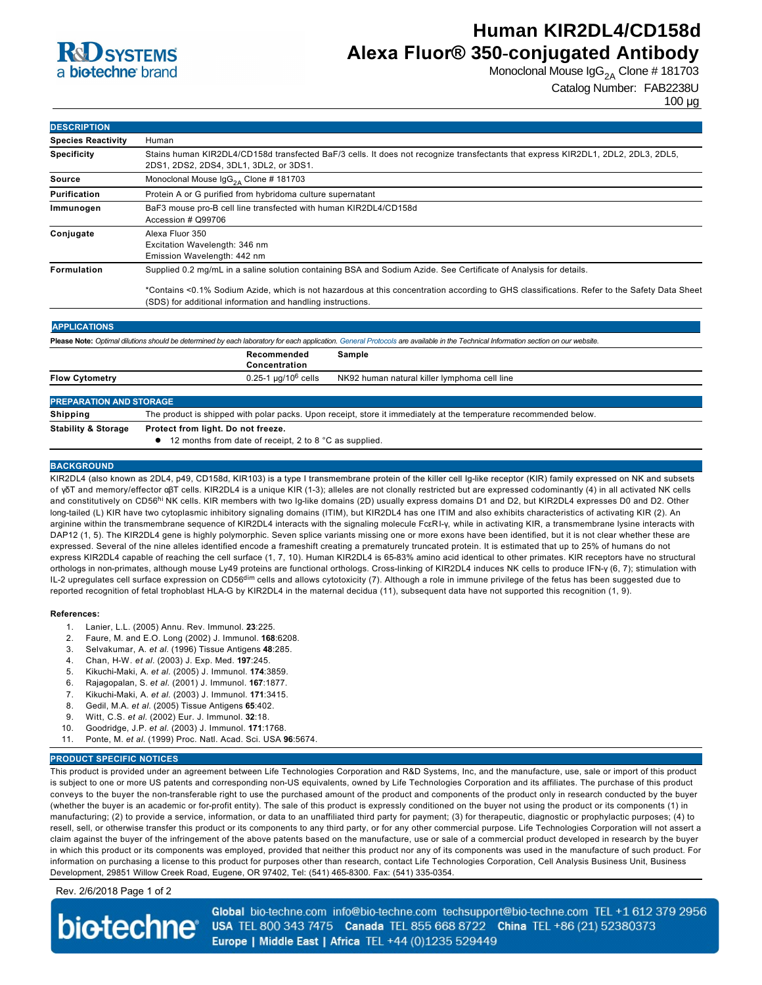

## **Human KIR2DL4/CD158d Alexa Fluor® 350-conjugated Antibody**

Monoclonal Mouse  $\lg G_{2A}$  Clone # 181703

Catalog Number: FAB2238U

100 µg

| <b>DESCRIPTION</b>        |                                                                                                                                                                            |  |  |
|---------------------------|----------------------------------------------------------------------------------------------------------------------------------------------------------------------------|--|--|
| <b>Species Reactivity</b> | Human                                                                                                                                                                      |  |  |
| <b>Specificity</b>        | Stains human KIR2DL4/CD158d transfected BaF/3 cells. It does not recognize transfectants that express KIR2DL1, 2DL2, 2DL3, 2DL5,<br>2DS1, 2DS2, 2DS4, 3DL1, 3DL2, or 3DS1. |  |  |
| Source                    | Monoclonal Mouse $\lg G_{24}$ Clone # 181703                                                                                                                               |  |  |
| Purification              | Protein A or G purified from hybridoma culture supernatant                                                                                                                 |  |  |
| Immunogen                 | BaF3 mouse pro-B cell line transfected with human KIR2DL4/CD158d<br>Accession # Q99706                                                                                     |  |  |
| Conjugate                 | Alexa Fluor 350<br>Excitation Wavelength: 346 nm<br>Emission Wavelength: 442 nm                                                                                            |  |  |
| <b>Formulation</b>        | Supplied 0.2 mg/mL in a saline solution containing BSA and Sodium Azide. See Certificate of Analysis for details.                                                          |  |  |
|                           | *Contains <0.1% Sodium Azide, which is not hazardous at this concentration according to GHS classifications. Refer to the Safety Data Sheet                                |  |  |

\*Contains <0.1% Sodium Azide, which is not hazardous at this concentration according to GHS classifications. Refer to the Safety Data Sheet (SDS) for additional information and handling instructions.

### **APPLICATIONS**

Please Note: Optimal dilutions should be determined by each laboratory for each application. [General Protocols](http://www.rndsystems.com/resources/protocols-troubleshooting-guides) are available in the Technical Information section on our website **Recommended Concentration Sample**

|                                | -------------                   |                                              |  |  |
|--------------------------------|---------------------------------|----------------------------------------------|--|--|
| <b>Flow Cytometry</b>          | 0.25-1 µg/10 <sup>6</sup> cells | NK92 human natural killer lymphoma cell line |  |  |
|                                |                                 |                                              |  |  |
| <b>PREPARATION AND STORAGE</b> |                                 |                                              |  |  |
|                                |                                 |                                              |  |  |

**Shipping** The product is shipped with polar packs. Upon receipt, store it immediately at the temperature recommended below **Stability & Storage Protect from light. Do not freeze.**

● 12 months from date of receipt, 2 to 8 °C as supplied.

#### **BACKGROUND**

KIR2DL4 (also known as 2DL4, p49, CD158d, KIR103) is a type I transmembrane protein of the killer cell Ig-like receptor (KIR) family expressed on NK and subsets of γδT and memory/effector αβT cells. KIR2DL4 is a unique KIR (13); alleles are not clonally restricted but are expressed codominantly (4) in all activated NK cells and constitutively on CD56<sup>hi</sup> NK cells. KIR members with two Ig-like domains (2D) usually express domains D1 and D2, but KIR2DL4 expresses D0 and D2. Other long-tailed (L) KIR have two cytoplasmic inhibitory signaling domains (ITIM), but KIR2DL4 has one ITIM and also exhibits characteristics of activating KIR (2). An arginine within the transmembrane sequence of KIR2DL4 interacts with the signaling molecule FcεRIγ, while in activating KIR, a transmembrane lysine interacts with DAP12 (1, 5). The KIR2DL4 gene is highly polymorphic. Seven splice variants missing one or more exons have been identified, but it is not clear whether these are expressed. Several of the nine alleles identified encode a frameshift creating a prematurely truncated protein. It is estimated that up to 25% of humans do not express KIR2DL4 capable of reaching the cell surface (1, 7, 10). Human KIR2DL4 is 65-83% amino acid identical to other primates. KIR receptors have no structural orthologs in non-primates, although mouse Ly49 proteins are functional orthologs. Cross-linking of KIR2DL4 induces NK cells to produce IFN-y (6, 7); stimulation with IL-2 upregulates cell surface expression on CD56<sup>dim</sup> cells and allows cytotoxicity (7). Although a role in immune privilege of the fetus has been suggested due to reported recognition of fetal trophoblast HLAG by KIR2DL4 in the maternal decidua (11), subsequent data have not supported this recognition (1, 9).

#### **References:**

- 1. Lanier, L.L. (2005) Annu. Rev. Immunol. **23**:225.
- 2. Faure, M. and E.O. Long (2002) J. Immunol. **168**:6208.
- 3. Selvakumar, A. *et al.* (1996) Tissue Antigens **48**:285.
- 4. Chan, HW. *et al.* (2003) J. Exp. Med. **197**:245.
- 5. KikuchiMaki, A. *et al.* (2005) J. Immunol. **174**:3859.
- 6. Rajagopalan, S. *et al.* (2001) J. Immunol. **167**:1877.
- 7. Kikuchi-Maki, A. et al. (2003) J. Immunol. 171:3415.
- 8. Gedil, M.A. *et al.* (2005) Tissue Antigens **65**:402.
- 9. Witt, C.S. *et al.* (2002) Eur. J. Immunol. **32**:18.
- 10. Goodridge, J.P. *et al.* (2003) J. Immunol. **171**:1768.
- 11. Ponte, M. *et al.* (1999) Proc. Natl. Acad. Sci. USA **96**:5674.

#### **PRODUCT SPECIFIC NOTICES**

This product is provided under an agreement between Life Technologies Corporation and R&D Systems, Inc, and the manufacture, use, sale or import of this product is subject to one or more US patents and corresponding non-US equivalents, owned by Life Technologies Corporation and its affiliates. The purchase of this product conveys to the buyer the non-transferable right to use the purchased amount of the product and components of the product only in research conducted by the buyer (whether the buyer is an academic or for-profit entity). The sale of this product is expressly conditioned on the buyer not using the product or its components (1) in manufacturing; (2) to provide a service, information, or data to an unaffiliated third party for payment; (3) for therapeutic, diagnostic or prophylactic purposes; (4) to resell, sell, or otherwise transfer this product or its components to any third party, or for any other commercial purpose. Life Technologies Corporation will not assert a claim against the buyer of the infringement of the above patents based on the manufacture, use or sale of a commercial product developed in research by the buyer in which this product or its components was employed, provided that neither this product nor any of its components was used in the manufacture of such product. For information on purchasing a license to this product for purposes other than research, contact Life Technologies Corporation, Cell Analysis Business Unit, Business Development, 29851 Willow Creek Road, Eugene, OR 97402, Tel: (541) 465-8300. Fax: (541) 335-0354.

### Rev. 2/6/2018 Page 1 of 2

**biotechne** 

Global bio-techne.com info@bio-techne.com techsupport@bio-techne.com TEL +1 612 379 2956 USA TEL 800 343 7475 Canada TEL 855 668 8722 China TEL +86 (21) 52380373 Europe | Middle East | Africa TEL +44 (0)1235 529449